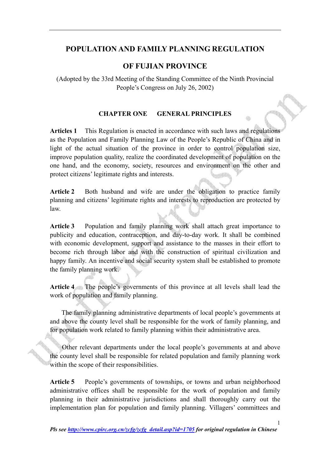# **POPULATION AND FAMILY PLANNING REGULATION**

### **OF FUJIAN PROVINCE**

(Adopted by the 33rd Meeting of the Standing Committee of the Ninth Provincial People's Congress on July 26, 2002)

### **CHAPTER ONE GENERAL PRINCIPLES**

**Articles 1** This Regulation is enacted in accordance with such laws and regulations as the Population and Family Planning Law of the People's Republic of China and in light of the actual situation of the province in order to control population size, improve population quality, realize the coordinated development of population on the one hand, and the economy, society, resources and environment on the other and protect citizens' legitimate rights and interests.

**Article 2** Both husband and wife are under the obligation to practice family planning and citizens' legitimate rights and interests to reproduction are protected by law.

**Article 3** Population and family planning work shall attach great importance to publicity and education, contraception, and day-to-day work. It shall be combined with economic development, support and assistance to the masses in their effort to become rich through labor and with the construction of spiritual civilization and happy family. An incentive and social security system shall be established to promote the family planning work.

**Article 4** The people's governments of this province at all levels shall lead the work of population and family planning.

The family planning administrative departments of local people's governments at and above the county level shall be responsible for the work of family planning, and for population work related to family planning within their administrative area.

Other relevant departments under the local people's governments at and above the county level shall be responsible for related population and family planning work within the scope of their responsibilities.

Article 5 People's governments of townships, or towns and urban neighborhood administrative offices shall be responsible for the work of population and family planning in their administrative jurisdictions and shall thoroughly carry out the implementation plan for population and family planning. Villagers' committees and

1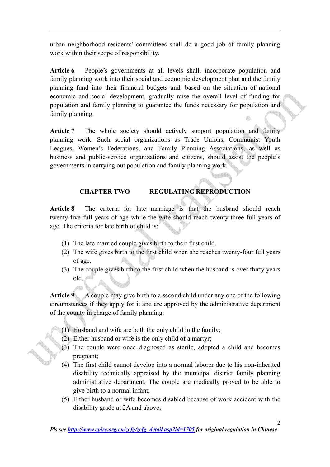urban neighborhood residents' committees shall do a good job of family planning work within their scope of responsibility.

**Article 6** People's governments at all levels shall, incorporate population and family planning work into their social and economic development plan and the family planning fund into their financial budgets and, based on the situation of national economic and social development, gradually raise the overall level of funding for population and family planning to guarantee the funds necessary for population and family planning.

**Article 7** The whole society should actively support population and family planning work. Such social organizations as Trade Unions, Communist Youth Leagues, Women's Federations, and Family Planning Associations, as well as business and public-service organizations and citizens, should assist the people's governments in carrying out population and family planning work.

# **CHAPTER TWO REGULATING REPRODUCTION**

**Article 8** The criteria for late marriage is that the husband should reach twenty-five full years of age while the wife should reach twenty-three full years of age. The criteria for late birth of child is:

- (1) The late married couple gives birth to their first child.
- (2) The wife gives birth to the first child when she reaches twenty-four full years of age.
- (3) The couple gives birth to the first child when the husband is over thirty years old.

**Article 9** A couple may give birth to a second child under any one of the following circumstances if they apply for it and are approved by the administrative department of the county in charge of family planning:

- (1) Husband and wife are both the only child in the family;
- (2) Either husband or wife is the only child of a martyr;
- (3) The couple were once diagnosed as sterile, adopted a child and becomes pregnant;
- (4) The first child cannot develop into a normal laborer due to his non-inherited disability technically appraised by the municipal district family planning administrative department. The couple are medically proved to be able to give birth to a normal infant;
- (5) Either husband or wife becomes disabled because of work accident with the disability grade at 2A and above;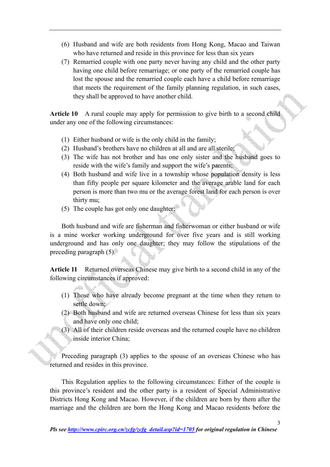- (6) Husband and wife are both residents from Hong Kong, Macao and Taiwan who have returned and reside in this province for less than six years
- (7) Remarried couple with one party never having any child and the other party having one child before remarriage; or one party of the remarried couple has lost the spouse and the remarried couple each have a child before remarriage that meets the requirement of the family planning regulation, in such cases, they shall be approved to have another child.

**Article 10** A rural couple may apply for permission to give birth to a second child under any one of the following circumstances:

- (1) Either husband or wife is the only child in the family;
- (2) Husband's brothers have no children at all and are all sterile;
- (3) The wife has not brother and has one only sister and the husband goes to reside with the wife's family and support the wife's parents;
- (4) Both husband and wife live in a township whose population density is less than fifty people per square kilometer and the average arable land for each person is more than two mu or the average forest land for each person is over thirty mu;
- (5) The couple has got only one daughter;

Both husband and wife are fisherman and fisherwoman or either husband or wife is a mine worker working underground for over five years and is still working underground and has only one daughter; they may follow the stipulations of the preceding paragraph (5).

**Article 11** Returned overseas Chinese may give birth to a second child in any of the following circumstances if approved:

- (1) Those who have already become pregnant at the time when they return to settle down;
- (2) Both husband and wife are returned overseas Chinese for less than six years and have only one child;
- (3) All of their children reside overseas and the returned couple have no children inside interior China;

Preceding paragraph (3) applies to the spouse of an overseas Chinese who has returned and resides in this province.

This Regulation applies to the following circumstances: Either of the couple is this province's resident and the other party is a resident of Special Administrative Districts Hong Kong and Macao. However, if the children are born by them after the marriage and the children are born the Hong Kong and Macao residents before the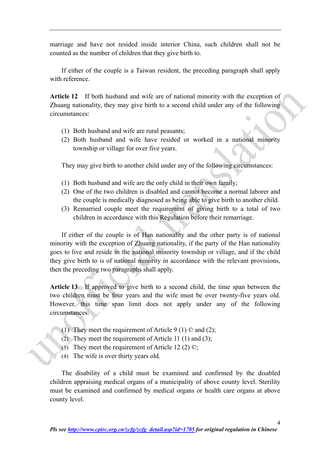marriage and have not resided inside interior China, such children shall not be counted as the number of children that they give birth to.

 If either of the couple is a Taiwan resident, the preceding paragraph shall apply with reference.

**Article 12** If both husband and wife are of national minority with the exception of Zhuang nationality, they may give birth to a second child under any of the following circumstances:

- (1) Both husband and wife are rural peasants;
- (2) Both husband and wife have resided or worked in a national minority township or village for over five years.

They may give birth to another child under any of the following circumstances:

- (1) Both husband and wife are the only child in their own family;
- (2) One of the two children is disabled and cannot become a normal laborer and the couple is medically diagnosed as being able to give birth to another child.
- (3) Remarried couple meet the requirement of giving birth to a total of two children in accordance with this Regulation before their remarriage.

If either of the couple is of Han nationality and the other party is of national minority with the exception of Zhuang nationality, if the party of the Han nationality goes to live and reside in the national minority township or village, and if the child they give birth to is of national minority in accordance with the relevant provisions, then the preceding two paragraphs shall apply.

**Article 13** If approved to give birth to a second child, the time span between the two children must be four years and the wife must be over twenty-five years old. However, this time span limit does not apply under any of the following circumstances:

- (1) They meet the requirement of Article 9 (1)  $\odot$  and (2);
- (2) They meet the requirement of Article 11 (1) and (3);
- (3) They meet the requirement of Article 12 (2)  $\mathbb{O}$ ;
- (4) The wife is over thirty years old.

The disability of a child must be examined and confirmed by the disabled children appraising medical organs of a municipality of above county level. Sterility must be examined and confirmed by medical organs or health care organs at above county level.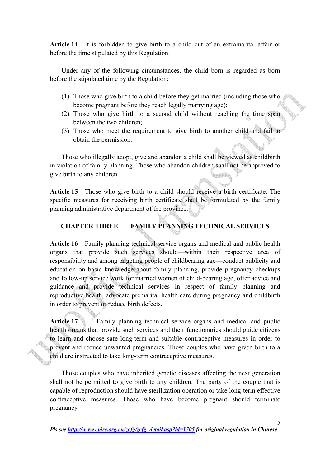**Article 14** It is forbidden to give birth to a child out of an extramarital affair or before the time stipulated by this Regulation.

 Under any of the following circumstances, the child born is regarded as born before the stipulated time by the Regulation:

- (1) Those who give birth to a child before they get married (including those who become pregnant before they reach legally marrying age);
- (2) Those who give birth to a second child without reaching the time span between the two children;
- (3) Those who meet the requirement to give birth to another child and fail to obtain the permission.

Those who illegally adopt, give and abandon a child shall be viewed as childbirth in violation of family planning. Those who abandon children shall not be approved to give birth to any children.

**Article 15** Those who give birth to a child should receive a birth certificate. The specific measures for receiving birth certificate shall be formulated by the family planning administrative department of the province.

## **CHAPTER THREE FAMILY PLANNING TECHNICAL SERVICES**

**Article 16** Family planning technical service organs and medical and public health organs that provide such services should—within their respective area of responsibility and among targeting people of childbearing age—conduct publicity and education on basic knowledge about family planning, provide pregnancy checkups and follow-up service work for married women of child-bearing age, offer advice and guidance and provide technical services in respect of family planning and reproductive health, advocate premarital health care during pregnancy and childbirth in order to prevent or reduce birth defects.

Article 17 • Family planning technical service organs and medical and public health organs that provide such services and their functionaries should guide citizens to learn and choose safe long-term and suitable contraceptive measures in order to prevent and reduce unwanted pregnancies. Those couples who have given birth to a child are instructed to take long-term contraceptive measures.

 Those couples who have inherited genetic diseases affecting the next generation shall not be permitted to give birth to any children. The party of the couple that is capable of reproduction should have sterilization operation or take long-term effective contraceptive measures. Those who have become pregnant should terminate pregnancy.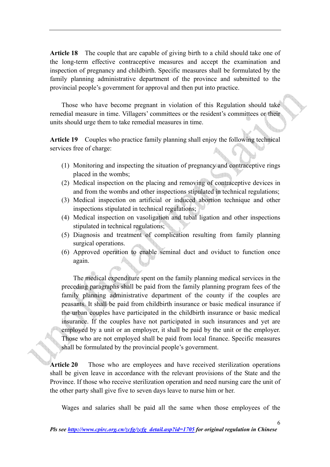**Article 18** The couple that are capable of giving birth to a child should take one of the long-term effective contraceptive measures and accept the examination and inspection of pregnancy and childbirth. Specific measures shall be formulated by the family planning administrative department of the province and submitted to the provincial people's government for approval and then put into practice.

 Those who have become pregnant in violation of this Regulation should take remedial measure in time. Villagers' committees or the resident's committees or their units should urge them to take remedial measures in time.

**Article 19** Couples who practice family planning shall enjoy the following technical services free of charge:

- (1) Monitoring and inspecting the situation of pregnancy and contraceptive rings placed in the wombs;
- (2) Medical inspection on the placing and removing of contraceptive devices in and from the wombs and other inspections stipulated in technical regulations;
- (3) Medical inspection on artificial or induced abortion technique and other inspections stipulated in technical regulations;
- (4) Medical inspection on vasoligation and tubal ligation and other inspections stipulated in technical regulations;
- (5) Diagnosis and treatment of complication resulting from family planning surgical operations.
- (6) Approved operation to enable seminal duct and oviduct to function once again.

The medical expenditure spent on the family planning medical services in the preceding paragraphs shall be paid from the family planning program fees of the family planning administrative department of the county if the couples are peasants. It shall be paid from childbirth insurance or basic medical insurance if the urban couples have participated in the childbirth insurance or basic medical insurance. If the couples have not participated in such insurances and yet are employed by a unit or an employer, it shall be paid by the unit or the employer. Those who are not employed shall be paid from local finance. Specific measures shall be formulated by the provincial people's government.

**Article 20** Those who are employees and have received sterilization operations shall be given leave in accordance with the relevant provisions of the State and the Province. If those who receive sterilization operation and need nursing care the unit of the other party shall give five to seven days leave to nurse him or her.

Wages and salaries shall be paid all the same when those employees of the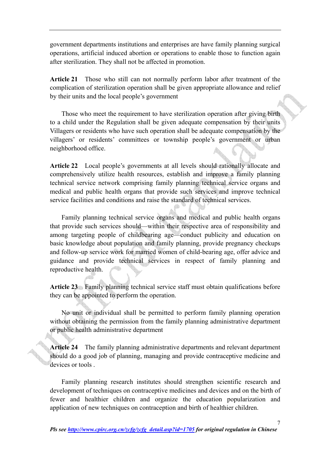government departments institutions and enterprises are have family planning surgical operations, artificial induced abortion or operations to enable those to function again after sterilization. They shall not be affected in promotion.

**Article 21** Those who still can not normally perform labor after treatment of the complication of sterilization operation shall be given appropriate allowance and relief by their units and the local people's government

 Those who meet the requirement to have sterilization operation after giving birth to a child under the Regulation shall be given adequate compensation by their units Villagers or residents who have such operation shall be adequate compensation by the villagers' or residents' committees or township people's government or urban neighborhood office.

**Article 22** Local people's governments at all levels should rationally allocate and comprehensively utilize health resources, establish and improve a family planning technical service network comprising family planning technical service organs and medical and public health organs that provide such services and improve technical service facilities and conditions and raise the standard of technical services.

Family planning technical service organs and medical and public health organs that provide such services should—within their respective area of responsibility and among targeting people of childbearing age—conduct publicity and education on basic knowledge about population and family planning, provide pregnancy checkups and follow-up service work for married women of child-bearing age, offer advice and guidance and provide technical services in respect of family planning and reproductive health.

**Article 23** Family planning technical service staff must obtain qualifications before they can be appointed to perform the operation.

 No unit or individual shall be permitted to perform family planning operation without obtaining the permission from the family planning administrative department or public health administrative department

**Article 24** The family planning administrative departments and relevant department should do a good job of planning, managing and provide contraceptive medicine and devices or tools.

 Family planning research institutes should strengthen scientific research and development of techniques on contraceptive medicines and devices and on the birth of fewer and healthier children and organize the education popularization and application of new techniques on contraception and birth of healthier children.

7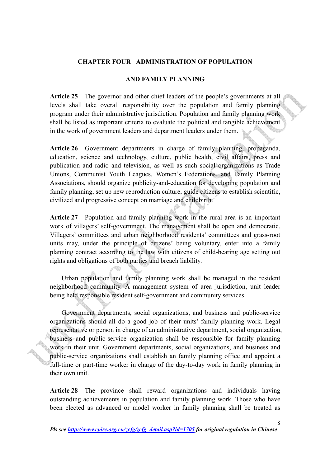### **CHAPTER FOUR ADMINISTRATION OF POPULATION**

#### **AND FAMILY PLANNING**

**Article 25** The governor and other chief leaders of the people's governments at all levels shall take overall responsibility over the population and family planning program under their administrative jurisdiction. Population and family planning work shall be listed as important criteria to evaluate the political and tangible achievement in the work of government leaders and department leaders under them.

**Article 26** Government departments in charge of family planning, propaganda, education, science and technology, culture, public health, civil affairs, press and publication and radio and television, as well as such social organizations as Trade Unions, Communist Youth Leagues, Women's Federations, and Family Planning Associations, should organize publicity-and-education for developing population and family planning, set up new reproduction culture, guide citizens to establish scientific, civilized and progressive concept on marriage and childbirth.

**Article 27** Population and family planning work in the rural area is an important work of villagers' self-government. The management shall be open and democratic. Villagers' committees and urban neighborhood residents' committees and grass-root units may, under the principle of citizens' being voluntary, enter into a family planning contract according to the law with citizens of child-bearing age setting out rights and obligations of both parties and breach liability.

Urban population and family planning work shall be managed in the resident neighborhood community. A management system of area jurisdiction, unit leader being held responsible resident self-government and community services.

Government departments, social organizations, and business and public-service organizations should all do a good job of their units' family planning work. Legal representative or person in charge of an administrative department, social organization, business and public-service organization shall be responsible for family planning work in their unit. Government departments, social organizations, and business and public-service organizations shall establish an family planning office and appoint a full-time or part-time worker in charge of the day-to-day work in family planning in their own unit.

**Article 28** The province shall reward organizations and individuals having outstanding achievements in population and family planning work. Those who have been elected as advanced or model worker in family planning shall be treated as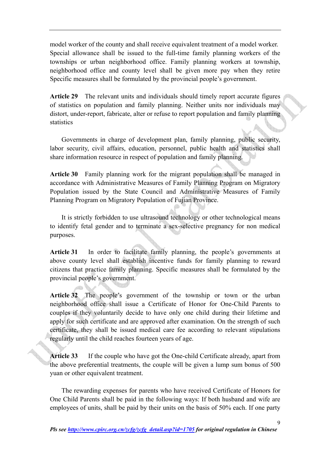model worker of the county and shall receive equivalent treatment of a model worker. Special allowance shall be issued to the full-time family planning workers of the townships or urban neighborhood office. Family planning workers at township, neighborhood office and county level shall be given more pay when they retire Specific measures shall be formulated by the provincial people's government.

**Article 29** The relevant units and individuals should timely report accurate figures of statistics on population and family planning. Neither units nor individuals may distort, under-report, fabricate, alter or refuse to report population and family planning statistics

 Governments in charge of development plan, family planning, public security, labor security, civil affairs, education, personnel, public health and statistics shall share information resource in respect of population and family planning.

**Article 30** Family planning work for the migrant population shall be managed in accordance with Administrative Measures of Family Planning Program on Migratory Population issued by the State Council and Administrative Measures of Family Planning Program on Migratory Population of Fujian Province.

It is strictly forbidden to use ultrasound technology or other technological means to identify fetal gender and to terminate a sex-selective pregnancy for non medical purposes.

**Article 31** In order to facilitate family planning, the people's governments at above county level shall establish incentive funds for family planning to reward citizens that practice family planning. Specific measures shall be formulated by the provincial people's government.

**Article 32** The people's government of the township or town or the urban neighborhood office shall issue a Certificate of Honor for One-Child Parents to couples if they voluntarily decide to have only one child during their lifetime and apply for such certificate and are approved after examination. On the strength of such certificate, they shall be issued medical care fee according to relevant stipulations regularly until the child reaches fourteen years of age.

**Article 33** If the couple who have got the One-child Certificate already, apart from the above preferential treatments, the couple will be given a lump sum bonus of 500 yuan or other equivalent treatment.

The rewarding expenses for parents who have received Certificate of Honors for One Child Parents shall be paid in the following ways: If both husband and wife are employees of units, shall be paid by their units on the basis of 50% each. If one party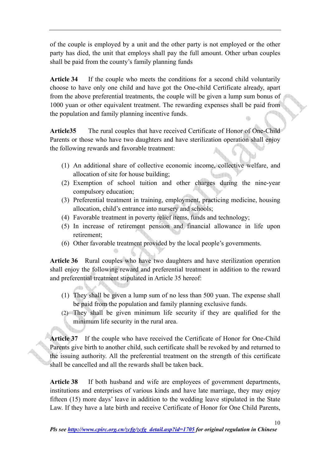of the couple is employed by a unit and the other party is not employed or the other party has died, the unit that employs shall pay the full amount. Other urban couples shall be paid from the county's family planning funds

Article 34 If the couple who meets the conditions for a second child voluntarily choose to have only one child and have got the One-child Certificate already, apart from the above preferential treatments, the couple will be given a lump sum bonus of 1000 yuan or other equivalent treatment. The rewarding expenses shall be paid from the population and family planning incentive funds.

**Article35** The rural couples that have received Certificate of Honor of One-Child Parents or those who have two daughters and have sterilization operation shall enjoy the following rewards and favorable treatment:

- (1) An additional share of collective economic income, collective welfare, and allocation of site for house building;
- (2) Exemption of school tuition and other charges during the nine-year compulsory education;
- (3) Preferential treatment in training, employment, practicing medicine, housing allocation, child's entrance into nursery and schools;
- (4) Favorable treatment in poverty relief items, funds and technology;
- (5) In increase of retirement pension and financial allowance in life upon retirement;
- (6) Other favorable treatment provided by the local people's governments.

**Article 36** Rural couples who have two daughters and have sterilization operation shall enjoy the following reward and preferential treatment in addition to the reward and preferential treatment stipulated in Article 35 hereof:

- (1) They shall be given a lump sum of no less than 500 yuan. The expense shall be paid from the population and family planning exclusive funds.
- (2) They shall be given minimum life security if they are qualified for the minimum life security in the rural area.

**Article 37** If the couple who have received the Certificate of Honor for One-Child Parents give birth to another child, such certificate shall be revoked by and returned to the issuing authority. All the preferential treatment on the strength of this certificate shall be cancelled and all the rewards shall be taken back.

**Article 38** If both husband and wife are employees of government departments, institutions and enterprises of various kinds and have late marriage, they may enjoy fifteen (15) more days' leave in addition to the wedding leave stipulated in the State Law. If they have a late birth and receive Certificate of Honor for One Child Parents,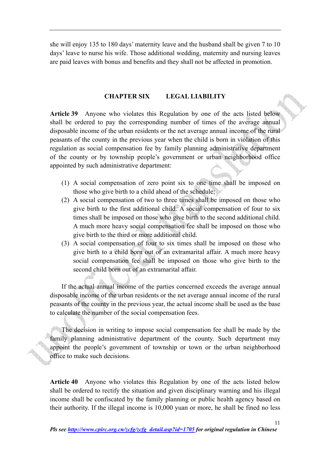she will enjoy 135 to 180 days' maternity leave and the husband shall be given 7 to 10 days' leave to nurse his wife. Those additional wedding, maternity and nursing leaves are paid leaves with bonus and benefits and they shall not be affected in promotion.

#### **CHAPTER SIX LEGAL LIABILITY**

**Article 39** Anyone who violates this Regulation by one of the acts listed below shall be ordered to pay the corresponding number of times of the average annual disposable income of the urban residents or the net average annual income of the rural peasants of the county in the previous year when the child is born in violation of this regulation as social compensation fee by family planning administrative department of the county or by township people's government or urban neighborhood office appointed by such administrative department:

- (1) A social compensation of zero point six to one time shall be imposed on those who give birth to a child ahead of the schedule;
- (2) A social compensation of two to three times shall be imposed on those who give birth to the first additional child. A social compensation of four to six times shall be imposed on those who give birth to the second additional child. A much more heavy social compensation fee shall be imposed on those who give birth to the third or more additional child.
- (3) A social compensation of four to six times shall be imposed on those who give birth to a child born out of an extramarital affair. A much more heavy social compensation fee shall be imposed on those who give birth to the second child born out of an extramarital affair.

If the actual annual income of the parties concerned exceeds the average annual disposable income of the urban residents or the net average annual income of the rural peasants of the county in the previous year, the actual income shall be used as the base to calculate the number of the social compensation fees.

The decision in writing to impose social compensation fee shall be made by the family planning administrative department of the county. Such department may appoint the people's government of township or town or the urban neighborhood office to make such decisions.

**Article 40** Anyone who violates this Regulation by one of the acts listed below shall be ordered to rectify the situation and given disciplinary warning and his illegal income shall be confiscated by the family planning or public health agency based on their authority. If the illegal income is 10,000 yuan or more, he shall be fined no less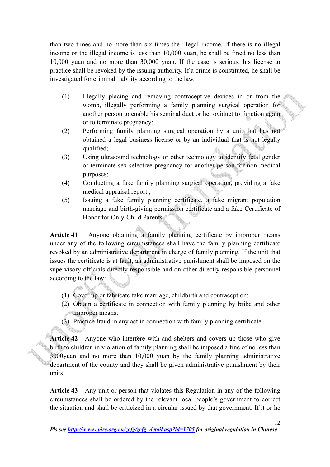than two times and no more than six times the illegal income. If there is no illegal income or the illegal income is less than 10,000 yuan, he shall be fined no less than 10,000 yuan and no more than 30,000 yuan. If the case is serious, his license to practice shall be revoked by the issuing authority. If a crime is constituted, he shall be investigated for criminal liability according to the law.

- (1) Illegally placing and removing contraceptive devices in or from the womb, illegally performing a family planning surgical operation for another person to enable his seminal duct or her oviduct to function again or to terminate pregnancy;
- (2) Performing family planning surgical operation by a unit that has not obtained a legal business license or by an individual that is not legally qualified;
- (3) Using ultrasound technology or other technology to identify fetal gender or terminate sex-selective pregnancy for another person for non-medical purposes;
- (4) Conducting a fake family planning surgical operation, providing a fake medical appraisal report ;
- (5) Issuing a fake family planning certificate, a fake migrant population marriage and birth-giving permission certificate and a fake Certificate of Honor for Only-Child Parents.

**Article 41** Anyone obtaining a family planning certificate by improper means under any of the following circumstances shall have the family planning certificate revoked by an administrative department in charge of family planning. If the unit that issues the certificate is at fault, an administrative punishment shall be imposed on the supervisory officials directly responsible and on other directly responsible personnel according to the law:

- (1) Cover up or fabricate fake marriage, childbirth and contraception;
- (2) Obtain a certificate in connection with family planning by bribe and other improper means;
- (3) Practice fraud in any act in connection with family planning certificate

**Article 42** Anyone who interfere with and shelters and covers up those who give birth to children in violation of family planning shall be imposed a fine of no less than 3000yuan and no more than 10,000 yuan by the family planning administrative department of the county and they shall be given administrative punishment by their units.

**Article 43** Any unit or person that violates this Regulation in any of the following circumstances shall be ordered by the relevant local people's government to correct the situation and shall be criticized in a circular issued by that government. If it or he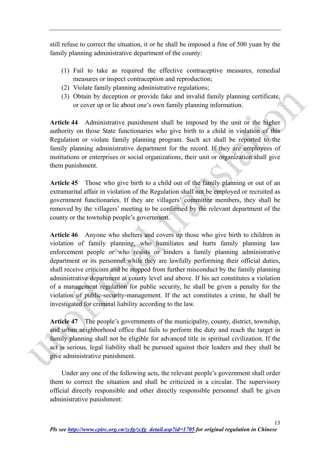still refuse to correct the situation, it or he shall be imposed a fine of 500 yuan by the family planning administrative department of the county:

- (1) Fail to take as required the effective contraceptive measures, remedial measures or inspect contraception and reproduction;
- (2) Violate family planning administrative regulations;
- (3) Obtain by deception or provide fake and invalid family planning certificate, or cover up or lie about one's own family planning information.

**Article 44** Administrative punishment shall be imposed by the unit or the higher authority on those State functionaries who give birth to a child in violation of this Regulation or violate family planning program. Such act shall be reported to the family planning administrative department for the record. If they are employees of institutions or enterprises or social organizations, their unit or organization shall give them punishment.

**Article 45** Those who give birth to a child out of the family planning or out of an extramarital affair in violation of the Regulation shall not be employed or recruited as government functionaries. If they are villagers' committee members, they shall be removed by the villagers' meeting to be confirmed by the relevant department of the county or the township people's government.

**Article 46** Anyone who shelters and covers up those who give birth to children in violation of family planning, who humiliates and hurts family planning law enforcement people or who resists or hinders a family planning administrative department or its personnel while they are lawfully performing their official duties, shall receive criticism and be stopped from further misconduct by the family planning administrative department at county level and above. If his act constitutes a violation of a management regulation for public security, he shall be given a penalty for the violation of public-security-management. If the act constitutes a crime, he shall be investigated for criminal liability according to the law.

**Article 47** The people's governments of the municipality, county, district, township, and urban neighborhood office that fails to perform the duty and reach the target in family planning shall not be eligible for advanced title in spiritual civilization. If the act is serious, legal liability shall be pursued against their leaders and they shall be give administrative punishment.

 Under any one of the following acts, the relevant people's government shall order them to correct the situation and shall be criticized in a circular. The supervisory official directly responsible and other directly responsible personnel shall be given administrative punishment: